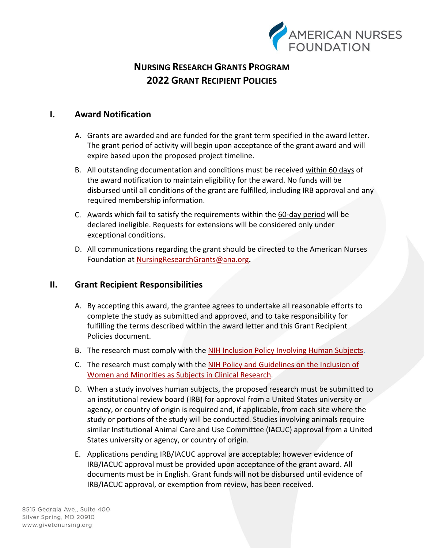

## **I. Award Notification**

- A. Grants are awarded and are funded for the grant term specified in the award letter. The grant period of activity will begin upon acceptance of the grant award and will expire based upon the proposed project timeline.
- B. All outstanding documentation and conditions must be received within 60 days of the award notification to maintain eligibility for the award. No funds will be disbursed until all conditions of the grant are fulfilled, including IRB approval and any required membership information.
- C. Awards which fail to satisfy the requirements within the 60-day period will be declared ineligible. Requests for extensions will be considered only under exceptional conditions.
- D. All communications regarding the grant should be directed to the American Nurses Foundation at [NursingResearchGrants@ana.org](mailto:NursingResearchGrants@ana.org)**.**

## **II. Grant Recipient Responsibilities**

- A. By accepting this award, the grantee agrees to undertake all reasonable efforts to complete the study as submitted and approved, and to take responsibility for fulfilling the terms described within the award letter and this Grant Recipient Policies document.
- B. The research must comply with the [NIH Inclusion Policy Involving Human Subjects.](https://grants.nih.gov/policy/inclusion.htm)
- C. The research must comply with the NIH Policy and Guidelines on the Inclusion of [Women and Minorities as Subjects in Clinical Research.](https://grants.nih.gov/policy/inclusion/women-and-minorities.htm)
- D. When a study involves human subjects, the proposed research must be submitted to an institutional review board (IRB) for approval from a United States university or agency, or country of origin is required and, if applicable, from each site where the study or portions of the study will be conducted. Studies involving animals require similar Institutional Animal Care and Use Committee (IACUC) approval from a United States university or agency, or country of origin.
- E. Applications pending IRB/IACUC approval are acceptable; however evidence of IRB/IACUC approval must be provided upon acceptance of the grant award. All documents must be in English. Grant funds will not be disbursed until evidence of IRB/IACUC approval, or exemption from review, has been received.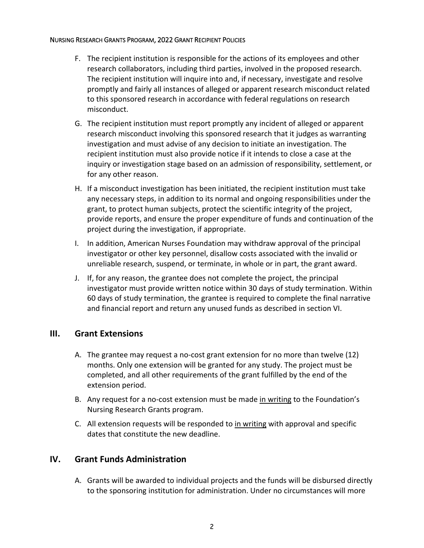- F. The recipient institution is responsible for the actions of its employees and other research collaborators, including third parties, involved in the proposed research. The recipient institution will inquire into and, if necessary, investigate and resolve promptly and fairly all instances of alleged or apparent research misconduct related to this sponsored research in accordance with federal regulations on research misconduct.
- G. The recipient institution must report promptly any incident of alleged or apparent research misconduct involving this sponsored research that it judges as warranting investigation and must advise of any decision to initiate an investigation. The recipient institution must also provide notice if it intends to close a case at the inquiry or investigation stage based on an admission of responsibility, settlement, or for any other reason.
- H. If a misconduct investigation has been initiated, the recipient institution must take any necessary steps, in addition to its normal and ongoing responsibilities under the grant, to protect human subjects, protect the scientific integrity of the project, provide reports, and ensure the proper expenditure of funds and continuation of the project during the investigation, if appropriate.
- I. In addition, American Nurses Foundation may withdraw approval of the principal investigator or other key personnel, disallow costs associated with the invalid or unreliable research, suspend, or terminate, in whole or in part, the grant award.
- J. If, for any reason, the grantee does not complete the project, the principal investigator must provide written notice within 30 days of study termination. Within 60 days of study termination, the grantee is required to complete the final narrative and financial report and return any unused funds as described in section VI.

## **III. Grant Extensions**

- A. The grantee may request a no-cost grant extension for no more than twelve (12) months. Only one extension will be granted for any study. The project must be completed, and all other requirements of the grant fulfilled by the end of the extension period.
- B. Any request for a no-cost extension must be made in writing to the Foundation's Nursing Research Grants program.
- C. All extension requests will be responded to in writing with approval and specific dates that constitute the new deadline.

## **IV. Grant Funds Administration**

A. Grants will be awarded to individual projects and the funds will be disbursed directly to the sponsoring institution for administration. Under no circumstances will more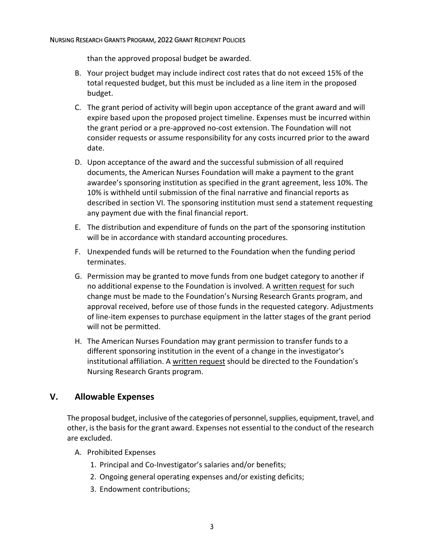than the approved proposal budget be awarded.

- B. Your project budget may include indirect cost rates that do not exceed 15% of the total requested budget, but this must be included as a line item in the proposed budget.
- C. The grant period of activity will begin upon acceptance of the grant award and will expire based upon the proposed project timeline. Expenses must be incurred within the grant period or a pre-approved no-cost extension. The Foundation will not consider requests or assume responsibility for any costs incurred prior to the award date.
- D. Upon acceptance of the award and the successful submission of all required documents, the American Nurses Foundation will make a payment to the grant awardee's sponsoring institution as specified in the grant agreement, less 10%. The 10% is withheld until submission of the final narrative and financial reports as described in section VI. The sponsoring institution must send a statement requesting any payment due with the final financial report.
- E. The distribution and expenditure of funds on the part of the sponsoring institution will be in accordance with standard accounting procedures.
- F. Unexpended funds will be returned to the Foundation when the funding period terminates.
- G. Permission may be granted to move funds from one budget category to another if no additional expense to the Foundation is involved. A written request for such change must be made to the Foundation's Nursing Research Grants program, and approval received, before use of those funds in the requested category. Adjustments of line-item expenses to purchase equipment in the latter stages of the grant period will not be permitted.
- H. The American Nurses Foundation may grant permission to transfer funds to a different sponsoring institution in the event of a change in the investigator's institutional affiliation. A written request should be directed to the Foundation's Nursing Research Grants program.

## **V. Allowable Expenses**

The proposal budget, inclusive of the categories of personnel, supplies, equipment, travel, and other, is the basis for the grant award. Expenses not essential to the conduct of the research are excluded.

- A. Prohibited Expenses
	- 1. Principal and Co-Investigator's salaries and/or benefits;
	- 2. Ongoing general operating expenses and/or existing deficits;
	- 3. Endowment contributions;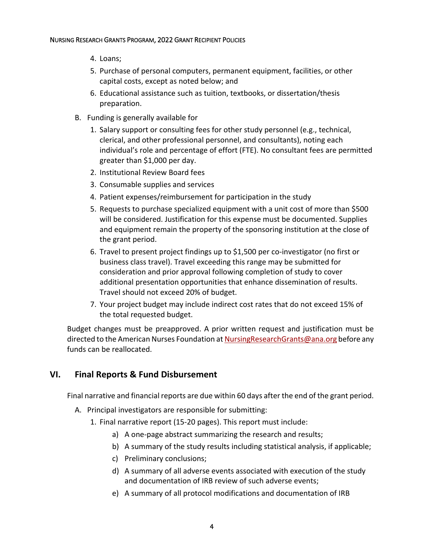- 4. Loans;
- 5. Purchase of personal computers, permanent equipment, facilities, or other capital costs, except as noted below; and
- 6. Educational assistance such as tuition, textbooks, or dissertation/thesis preparation.
- B. Funding is generally available for
	- 1. Salary support or consulting fees for other study personnel (e.g., technical, clerical, and other professional personnel, and consultants), noting each individual's role and percentage of effort (FTE). No consultant fees are permitted greater than \$1,000 per day.
	- 2. Institutional Review Board fees
	- 3. Consumable supplies and services
	- 4. Patient expenses/reimbursement for participation in the study
	- 5. Requests to purchase specialized equipment with a unit cost of more than \$500 will be considered. Justification for this expense must be documented. Supplies and equipment remain the property of the sponsoring institution at the close of the grant period.
	- 6. Travel to present project findings up to \$1,500 per co-investigator (no first or business class travel). Travel exceeding this range may be submitted for consideration and prior approval following completion of study to cover additional presentation opportunities that enhance dissemination of results. Travel should not exceed 20% of budget.
	- 7. Your project budget may include indirect cost rates that do not exceed 15% of the total requested budget.

Budget changes must be preapproved. A prior written request and justification must be directed to the American Nurses Foundation at [NursingResearchGrants@ana.org](mailto:NursingResearchGrants@ana.org) before any funds can be reallocated.

## **VI. Final Reports & Fund Disbursement**

Final narrative and financial reports are due within 60 days after the end of the grant period.

- A. Principal investigators are responsible for submitting:
	- 1. Final narrative report (15-20 pages). This report must include:
		- a) A one-page abstract summarizing the research and results;
		- b) A summary of the study results including statistical analysis, if applicable;
		- c) Preliminary conclusions;
		- d) A summary of all adverse events associated with execution of the study and documentation of IRB review of such adverse events;
		- e) A summary of all protocol modifications and documentation of IRB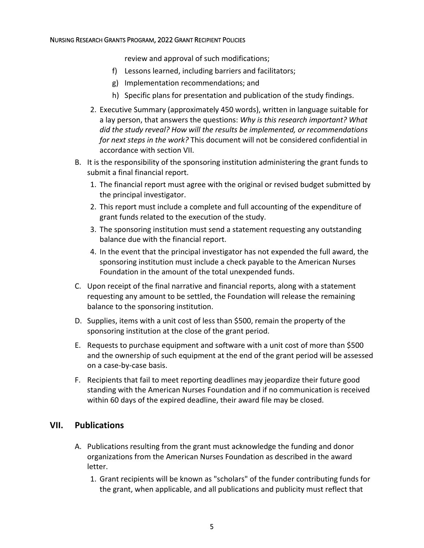review and approval of such modifications;

- f) Lessons learned, including barriers and facilitators;
- g) Implementation recommendations; and
- h) Specific plans for presentation and publication of the study findings.
- 2. Executive Summary (approximately 450 words), written in language suitable for a lay person, that answers the questions: *Why is this research important? What did the study reveal? How will the results be implemented, or recommendations for next steps in the work?* This document will not be considered confidential in accordance with section VII.
- B. It is the responsibility of the sponsoring institution administering the grant funds to submit a final financial report.
	- 1. The financial report must agree with the original or revised budget submitted by the principal investigator.
	- 2. This report must include a complete and full accounting of the expenditure of grant funds related to the execution of the study.
	- 3. The sponsoring institution must send a statement requesting any outstanding balance due with the financial report.
	- 4. In the event that the principal investigator has not expended the full award, the sponsoring institution must include a check payable to the American Nurses Foundation in the amount of the total unexpended funds.
- C. Upon receipt of the final narrative and financial reports, along with a statement requesting any amount to be settled, the Foundation will release the remaining balance to the sponsoring institution.
- D. Supplies, items with a unit cost of less than \$500, remain the property of the sponsoring institution at the close of the grant period.
- E. Requests to purchase equipment and software with a unit cost of more than \$500 and the ownership of such equipment at the end of the grant period will be assessed on a case-by-case basis.
- F. Recipients that fail to meet reporting deadlines may jeopardize their future good standing with the American Nurses Foundation and if no communication is received within 60 days of the expired deadline, their award file may be closed.

## **VII. Publications**

- A. Publications resulting from the grant must acknowledge the funding and donor organizations from the American Nurses Foundation as described in the award letter.
	- 1. Grant recipients will be known as "scholars" of the funder contributing funds for the grant, when applicable, and all publications and publicity must reflect that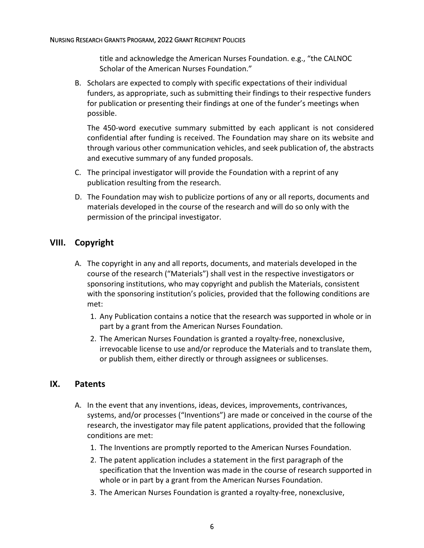title and acknowledge the American Nurses Foundation. e.g., "the CALNOC Scholar of the American Nurses Foundation."

B. Scholars are expected to comply with specific expectations of their individual funders, as appropriate, such as submitting their findings to their respective funders for publication or presenting their findings at one of the funder's meetings when possible.

The 450-word executive summary submitted by each applicant is not considered confidential after funding is received. The Foundation may share on its website and through various other communication vehicles, and seek publication of, the abstracts and executive summary of any funded proposals.

- C. The principal investigator will provide the Foundation with a reprint of any publication resulting from the research.
- D. The Foundation may wish to publicize portions of any or all reports, documents and materials developed in the course of the research and will do so only with the permission of the principal investigator.

## **VIII. Copyright**

- A. The copyright in any and all reports, documents, and materials developed in the course of the research ("Materials") shall vest in the respective investigators or sponsoring institutions, who may copyright and publish the Materials, consistent with the sponsoring institution's policies, provided that the following conditions are met:
	- 1. Any Publication contains a notice that the research was supported in whole or in part by a grant from the American Nurses Foundation.
	- 2. The American Nurses Foundation is granted a royalty-free, nonexclusive, irrevocable license to use and/or reproduce the Materials and to translate them, or publish them, either directly or through assignees or sublicenses.

## **IX. Patents**

- A. In the event that any inventions, ideas, devices, improvements, contrivances, systems, and/or processes ("Inventions") are made or conceived in the course of the research, the investigator may file patent applications, provided that the following conditions are met:
	- 1. The Inventions are promptly reported to the American Nurses Foundation.
	- 2. The patent application includes a statement in the first paragraph of the specification that the Invention was made in the course of research supported in whole or in part by a grant from the American Nurses Foundation.
	- 3. The American Nurses Foundation is granted a royalty-free, nonexclusive,